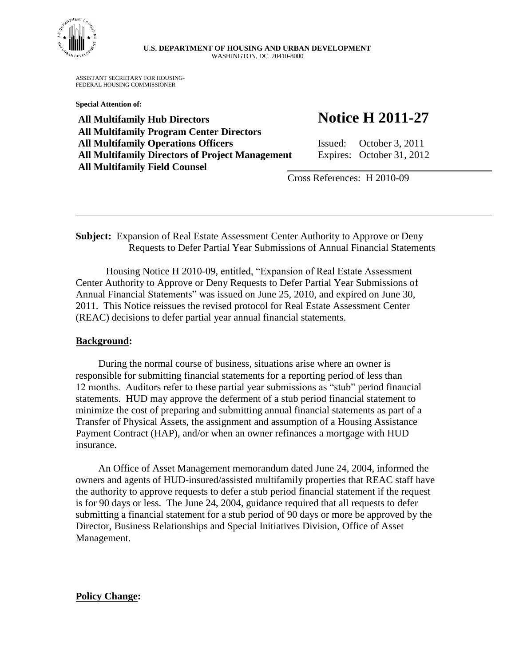

## **U.S. DEPARTMENT OF HOUSING AND URBAN DEVELOPMENT** WASHINGTON, DC 20410-8000

ASSISTANT SECRETARY FOR HOUSING-FEDERAL HOUSING COMMISSIONER

**Special Attention of:**

**All Multifamily Hub Directors Notice H 2011-27 All Multifamily Program Center Directors All Multifamily Operations Officers** Issued: October 3, 2011 **All Multifamily Directors of Project Management** Expires: October 31, 2012 **All Multifamily Field Counsel** 

Cross References: H 2010-09

**Subject:** Expansion of Real Estate Assessment Center Authority to Approve or Deny Requests to Defer Partial Year Submissions of Annual Financial Statements

Housing Notice H 2010-09, entitled, "Expansion of Real Estate Assessment Center Authority to Approve or Deny Requests to Defer Partial Year Submissions of Annual Financial Statements" was issued on June 25, 2010, and expired on June 30, 2011. This Notice reissues the revised protocol for Real Estate Assessment Center (REAC) decisions to defer partial year annual financial statements.

## **Background:**

During the normal course of business, situations arise where an owner is responsible for submitting financial statements for a reporting period of less than 12 months. Auditors refer to these partial year submissions as "stub" period financial statements. HUD may approve the deferment of a stub period financial statement to minimize the cost of preparing and submitting annual financial statements as part of a Transfer of Physical Assets, the assignment and assumption of a Housing Assistance Payment Contract (HAP), and/or when an owner refinances a mortgage with HUD insurance.

An Office of Asset Management memorandum dated June 24, 2004, informed the owners and agents of HUD-insured/assisted multifamily properties that REAC staff have the authority to approve requests to defer a stub period financial statement if the request is for 90 days or less. The June 24, 2004, guidance required that all requests to defer submitting a financial statement for a stub period of 90 days or more be approved by the Director, Business Relationships and Special Initiatives Division, Office of Asset Management.

## **Policy Change:**